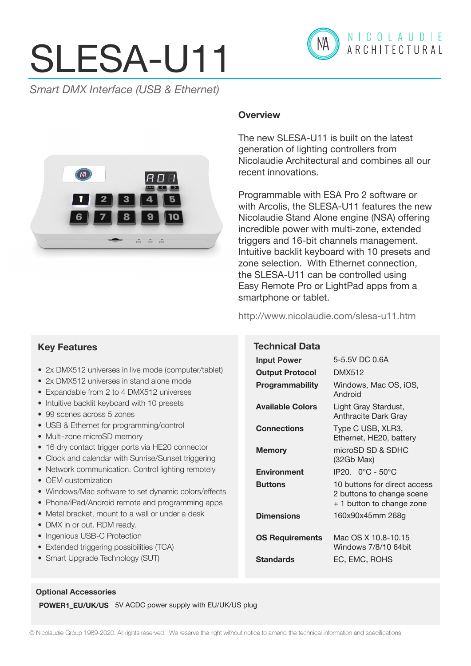# SLESA-U11



*Smart DMX Interface (USB & Ethernet)*



# **Overview**

The new SLESA-U11 is built on the latest generation of lighting controllers from Nicolaudie Architectural and combines all our recent innovations.

Programmable with ESA Pro 2 software or with Arcolis, the SLESA-U11 features the new Nicolaudie Stand Alone engine (NSA) offering incredible power with multi-zone, extended triggers and 16-bit channels management. Intuitive backlit keyboard with 10 presets and zone selection. With Ethernet connection, the SLESA-U11 can be controlled using Easy Remote Pro or LightPad apps from a smartphone or tablet.

http://www.nicolaudie.com/slesa-u11.htm

**Technical Data**

# **Key Features**

- 2x DMX512 universes in live mode (computer/tablet)
- 2x DMX512 universes in stand alone mode
- Expandable from 2 to 4 DMX512 universes
- Intuitive backlit keyboard with 10 presets
- 99 scenes across 5 zones
- USB & Ethernet for programming/control
- Multi-zone microSD memory
- 16 dry contact trigger ports via HE20 connector
- Clock and calendar with Sunrise/Sunset triggering
- Network communication. Control lighting remotely
- OEM customization
- Windows/Mac software to set dynamic colors/effects
- Phone/iPad/Android remote and programming apps
- Metal bracket, mount to a wall or under a desk
- DMX in or out. RDM ready.
- Ingenious USB-C Protection
- Extended triggering possibilities (TCA)
- Smart Upgrade Technology (SUT)

**Input Power** 5-5.5V DC 0.6A **Output Protocol** DMX512 **Programmability** Windows, Mac OS, iOS, Android **Available Colors** Light Gray Stardust, Anthracite Dark Gray **Connections** Type C USB, XLR3, Ethernet, HE20, battery **Memory** microSD SD & SDHC (32Gb Max) **Environment** IP20. 0°C - 50°C **Buttons** 10 buttons for direct access 2 buttons to change scene + 1 button to change zone **Dimensions** 160x90x45mm 268g

**OS Requirements** Mac OS X 10.8-10.15 Windows 7/8/10 64bit **Standards** EC, EMC, ROHS

#### **Optional Accessories**

**POWER1\_EU/UK/US** 5V ACDC power supply with EU/UK/US plug